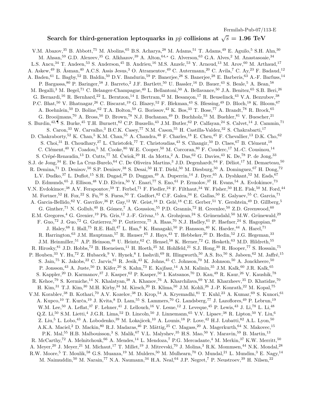Fermilab-Pub-07/113-E

## Search for third-generation leptoquarks in  $p\bar{p}$  collisions at  $\sqrt{s}=1.96\;\text{TeV}$

V.M. Abazov,<sup>35</sup> B. Abbott,<sup>75</sup> M. Abolins,<sup>65</sup> B.S. Acharya,<sup>28</sup> M. Adams,<sup>51</sup> T. Adams,<sup>49</sup> E. Aguilo,<sup>5</sup> S.H. Ahn,<sup>30</sup> M. Ahsan,<sup>59</sup> G.D. Alexeev,<sup>35</sup> G. Alkhazov,<sup>39</sup> A. Alton,<sup>64,∗</sup> G. Alverson,<sup>63</sup> G.A. Alves,<sup>2</sup> M. Anastasoaie,<sup>34</sup> L.S. Ancu,<sup>34</sup> T. Andeen,<sup>53</sup> S. Anderson,<sup>45</sup> B. Andrieu,<sup>16</sup> M.S. Anzelc,<sup>53</sup> Y. Arnoud,<sup>13</sup> M. Arov,<sup>60</sup> M. Arthaud,<sup>17</sup> A. Askew,<sup>49</sup> B. Åsman,<sup>40</sup> A.C.S. Assis Jesus,<sup>3</sup> O. Atramentov,<sup>49</sup> C. Autermann,<sup>20</sup> C. Avila,<sup>7</sup> C. Ay,<sup>23</sup> F. Badaud,<sup>12</sup> A. Baden,<sup>61</sup> L. Bagby,<sup>52</sup> B. Baldin,<sup>50</sup> D.V. Bandurin,<sup>59</sup> P. Banerjee,<sup>28</sup> S. Banerjee,<sup>28</sup> E. Barberis,<sup>63</sup> A.-F. Barfuss,<sup>14</sup> P. Bargassa,<sup>80</sup> P. Baringer,<sup>58</sup> J. Barreto,<sup>2</sup> J.F. Bartlett,<sup>50</sup> U. Bassler,<sup>16</sup> D. Bauer,<sup>43</sup> S. Beale,<sup>5</sup> A. Bean,<sup>58</sup> M. Begalli,<sup>3</sup> M. Begel,<sup>71</sup> C. Belanger-Champagne,<sup>40</sup> L. Bellantoni,<sup>50</sup> A. Bellavance,<sup>50</sup> J.A. Benitez,<sup>65</sup> S.B. Beri,<sup>26</sup> G. Bernardi,<sup>16</sup> R. Bernhard,<sup>22</sup> L. Berntzon,<sup>14</sup> I. Bertram,<sup>42</sup> M. Besançon,<sup>17</sup> R. Beuselinck,<sup>43</sup> V.A. Bezzubov,<sup>38</sup> P.C. Bhat,<sup>50</sup> V. Bhatnagar,<sup>26</sup> C. Biscarat,<sup>19</sup> G. Blazey,<sup>52</sup> F. Blekman,<sup>43</sup> S. Blessing,<sup>49</sup> D. Bloch,<sup>18</sup> K. Bloom,<sup>67</sup> A. Boehnlein,<sup>50</sup> D. Boline,<sup>62</sup> T.A. Bolton,<sup>59</sup> G. Borissov,<sup>42</sup> K. Bos,<sup>33</sup> T. Bose,<sup>77</sup> A. Brandt,<sup>78</sup> R. Brock,<sup>65</sup> G. Brooijmans,<sup>70</sup> A. Bross,<sup>50</sup> D. Brown,<sup>78</sup> N.J. Buchanan,<sup>49</sup> D. Buchholz,<sup>53</sup> M. Buehler,<sup>81</sup> V. Buescher,<sup>21</sup> S. Burdin,<sup>42,¶</sup> S. Burke,<sup>45</sup> T.H. Burnett,<sup>82</sup> C.P. Buszello,<sup>43</sup> J.M. Butler,<sup>62</sup> P. Calfayan,<sup>24</sup> S. Calvet,<sup>14</sup> J. Cammin,<sup>71</sup> S. Caron, <sup>33</sup> W. Carvalho, <sup>3</sup> B.C.K. Casey, <sup>77</sup> N.M. Cason, <sup>55</sup> H. Castilla-Valdez, <sup>32</sup> S. Chakrabarti, <sup>17</sup> D. Chakraborty,<sup>52</sup> K. Chan,<sup>5</sup> K.M. Chan,<sup>55</sup> A. Chandra,<sup>48</sup> F. Charles,<sup>18</sup> E. Cheu,<sup>45</sup> F. Chevallier,<sup>13</sup> D.K. Cho,<sup>62</sup> S. Choi, <sup>31</sup> B. Choudhary, <sup>27</sup> L. Christofek,<sup>77</sup> T. Christoudias, <sup>43</sup> S. Cihangir, <sup>50</sup> D. Claes, <sup>67</sup> B. Clément, <sup>18</sup> C. Clément,<sup>40</sup> Y. Coadou,<sup>5</sup> M. Cooke,<sup>80</sup> W.E. Cooper,<sup>50</sup> M. Corcoran,<sup>80</sup> F. Couderc,<sup>17</sup> M.-C. Cousinou,<sup>14</sup> S. Crépé-Renaudin,<sup>13</sup> D. Cutts,<sup>77</sup> M. Ćwiok, <sup>29</sup> H. da Motta, <sup>2</sup> A. Das, <sup>62</sup> G. Davies, <sup>43</sup> K. De, <sup>78</sup> P. de Jong, <sup>33</sup> S.J. de Jong,<sup>34</sup> E. De La Cruz-Burelo,<sup>64</sup> C. De Oliveira Martins,<sup>3</sup> J.D. Degenhardt,<sup>64</sup> F. Déliot,<sup>17</sup> M. Demarteau,<sup>50</sup> R. Demina,<sup>71</sup> D. Denisov,<sup>50</sup> S.P. Denisov,<sup>38</sup> S. Desai,<sup>50</sup> H.T. Diehl,<sup>50</sup> M. Diesburg,<sup>50</sup> A. Dominguez,<sup>67</sup> H. Dong,<sup>72</sup> L.V. Dudko,<sup>37</sup> L. Duflot,<sup>15</sup> S.R. Dugad,<sup>28</sup> D. Duggan,<sup>49</sup> A. Duperrin,<sup>14</sup> J. Dyer,<sup>65</sup> A. Dyshkant,<sup>52</sup> M. Eads,<sup>67</sup> D. Edmunds,<sup>65</sup> J. Ellison,<sup>48</sup> V.D. Elvira,<sup>50</sup> Y. Enari,<sup>77</sup> S. Eno,<sup>61</sup> P. Ermolov,<sup>37</sup> H. Evans,<sup>54</sup> A. Evdokimov,<sup>73</sup> V.N. Evdokimov,<sup>38</sup> A.V. Ferapontov,<sup>59</sup> T. Ferbel,<sup>71</sup> F. Fiedler,<sup>24</sup> F. Filthaut,<sup>34</sup> W. Fisher,<sup>50</sup> H.E. Fisk,<sup>50</sup> M. Ford,<sup>44</sup> M. Fortner,<sup>52</sup> H. Fox,<sup>22</sup> S. Fu,<sup>50</sup> S. Fuess,<sup>50</sup> T. Gadfort,<sup>82</sup> C.F. Galea,<sup>34</sup> E. Gallas,<sup>50</sup> E. Galyaev,<sup>55</sup> C. Garcia,<sup>71</sup> A. Garcia-Bellido, <sup>82</sup> V. Gavrilov, <sup>36</sup> P. Gay, <sup>12</sup> W. Geist, <sup>18</sup> D. Gelé, <sup>18</sup> C.E. Gerber, <sup>51</sup> Y. Gershtein, <sup>49</sup> D. Gillberg, <sup>5</sup> G. Ginther,<sup>71</sup> N. Gollub,<sup>40</sup> B. Gómez,<sup>7</sup> A. Goussiou,<sup>55</sup> P.D. Grannis,<sup>72</sup> H. Greenlee,<sup>50</sup> Z.D. Greenwood,<sup>60</sup> E.M. Gregores,<sup>4</sup> G. Grenier,<sup>19</sup> Ph. Gris,<sup>12</sup> J.-F. Grivaz,<sup>15</sup> A. Grohsjean,<sup>24</sup> S. Grünendahl,<sup>50</sup> M.W. Grünewald,<sup>29</sup> F. Guo,<sup>72</sup> J. Guo,<sup>72</sup> G. Gutierrez,<sup>50</sup> P. Gutierrez,<sup>75</sup> A. Haas,<sup>70</sup> N.J. Hadley,<sup>61</sup> P. Haefner,<sup>24</sup> S. Hagopian,<sup>49</sup> J. Haley,  $68$  I. Hall,  $75$  R.E. Hall,  $47$  L. Han,  $6$  K. Hanagaki,  $50$  P. Hansson,  $40$  K. Harder,  $44$  A. Harel,  $71$ R. Harrington,<sup>63</sup> J.M. Hauptman,<sup>57</sup> R. Hauser,<sup>65</sup> J. Hays,<sup>43</sup> T. Hebbeker,<sup>20</sup> D. Hedin,<sup>52</sup> J.G. Hegeman,<sup>33</sup> J.M. Heinmiller,<sup>51</sup> A.P. Heinson,<sup>48</sup> U. Heintz,<sup>62</sup> C. Hensel,<sup>58</sup> K. Herner,<sup>72</sup> G. Hesketh,<sup>63</sup> M.D. Hildreth,<sup>55</sup> R. Hirosky,  $81$  J.D. Hobbs,  $72$  B. Hoeneisen,  $11$  H. Hoeth,  $25$  M. Hohlfeld,  $21$  S.J. Hong,  $30$  R. Hooper,  $77$  S. Hossain,  $75$ P. Houben,<sup>33</sup> Y. Hu,<sup>72</sup> Z. Hubacek, <sup>9</sup> V. Hynek, <sup>8</sup> I. Iashvili, <sup>69</sup> R. Illingworth, <sup>50</sup> A.S. Ito, <sup>50</sup> S. Jabeen, <sup>62</sup> M. Jaffré, <sup>15</sup> S. Jain,<sup>75</sup> K. Jakobs,<sup>22</sup> C. Jarvis,<sup>61</sup> R. Jesik,<sup>43</sup> K. Johns,<sup>45</sup> C. Johnson,<sup>70</sup> M. Johnson,<sup>50</sup> A. Jonckheere,<sup>50</sup> P. Jonsson,<sup>43</sup> A. Juste,<sup>50</sup> D. Käfer,<sup>20</sup> S. Kahn,<sup>73</sup> E. Kajfasz,<sup>14</sup> A.M. Kalinin,<sup>35</sup> J.M. Kalk,<sup>60</sup> J.R. Kalk,<sup>65</sup> S. Kappler,<sup>20</sup> D. Karmanov,<sup>37</sup> J. Kasper,<sup>62</sup> P. Kasper,<sup>50</sup> I. Katsanos,<sup>70</sup> D. Kau,<sup>49</sup> R. Kaur,<sup>26</sup> V. Kaushik,<sup>78</sup> R. Kehoe,<sup>79</sup> S. Kermiche,<sup>14</sup> N. Khalatyan,<sup>38</sup> A. Khanov,<sup>76</sup> A. Kharchilava,<sup>69</sup> Y.M. Kharzheev,<sup>35</sup> D. Khatidze,<sup>70</sup> H. Kim,<sup>31</sup> T.J. Kim,<sup>30</sup> M.H. Kirby,<sup>34</sup> M. Kirsch,<sup>20</sup> B. Klima,<sup>50</sup> J.M. Kohli,<sup>26</sup> J.-P. Konrath,<sup>22</sup> M. Kopal,<sup>75</sup> V.M. Korablev,<sup>38</sup> B. Kothari,<sup>70</sup> A.V. Kozelov,<sup>38</sup> D. Krop,<sup>54</sup> A. Kryemadhi,<sup>81</sup> T. Kuhl,<sup>23</sup> A. Kumar,<sup>69</sup> S. Kunori,<sup>61</sup> A. Kupco,<sup>10</sup> T. Kurča,<sup>19</sup> J. Kvita,<sup>8</sup> D. Lam,<sup>55</sup> S. Lammers,<sup>70</sup> G. Landsberg,<sup>77</sup> J. Lazoflores,<sup>49</sup> P. Lebrun,<sup>19</sup> W.M. Lee,<sup>50</sup> A. Leflat,<sup>37</sup> F. Lehner,<sup>41</sup> J. Lellouch,<sup>16</sup> V. Lesne,<sup>12</sup> J. Leveque,<sup>45</sup> P. Lewis,<sup>43</sup> J. Li,<sup>78</sup> L. Li,<sup>48</sup> Q.Z. Li,<sup>50</sup> S.M. Lietti,<sup>4</sup> J.G.R. Lima,<sup>52</sup> D. Lincoln,<sup>50</sup> J. Linnemann,<sup>65</sup> V.V. Lipaev,<sup>38</sup> R. Lipton,<sup>50</sup> Y. Liu,<sup>6</sup> Z. Liu,<sup>5</sup> L. Lobo,<sup>43</sup> A. Lobodenko,<sup>39</sup> M. Lokajicek,<sup>10</sup> A. Lounis,<sup>18</sup> P. Love,<sup>42</sup> H.J. Lubatti,<sup>82</sup> A.L. Lyon,<sup>50</sup> A.K.A. Maciel,<sup>2</sup> D. Mackin,<sup>80</sup> R.J. Madaras,<sup>46</sup> P. Mättig,<sup>25</sup> C. Magass,<sup>20</sup> A. Magerkurth,<sup>64</sup> N. Makovec,<sup>15</sup> P.K. Mal,<sup>55</sup> H.B. Malbouisson,<sup>3</sup> S. Malik,<sup>67</sup> V.L. Malyshev,<sup>35</sup> H.S. Mao,<sup>50</sup> Y. Maravin,<sup>59</sup> B. Martin,<sup>13</sup> R. McCarthy,<sup>72</sup> A. Melnitchouk,<sup>66</sup> A. Mendes,<sup>14</sup> L. Mendoza,<sup>7</sup> P.G. Mercadante,<sup>4</sup> M. Merkin,<sup>37</sup> K.W. Merritt,<sup>50</sup> A. Meyer,<sup>20</sup> J. Meyer,<sup>21</sup> M. Michaut,<sup>17</sup> T. Millet,<sup>19</sup> J. Mitrevski,<sup>70</sup> J. Molina,<sup>3</sup> R.K. Mommsen,<sup>44</sup> N.K. Mondal,<sup>28</sup> R.W. Moore,<sup>5</sup> T. Moulik,<sup>58</sup> G.S. Muanza,<sup>19</sup> M. Mulders,<sup>50</sup> M. Mulhearn,<sup>70</sup> O. Mundal,<sup>21</sup> L. Mundim,<sup>3</sup> E. Nagy,<sup>14</sup> M. Naimuddin,<sup>50</sup> M. Narain,<sup>77</sup> N.A. Naumann,<sup>34</sup> H.A. Neal,<sup>64</sup> J.P. Negret,<sup>7</sup> P. Neustroev,<sup>39</sup> H. Nilsen,<sup>22</sup>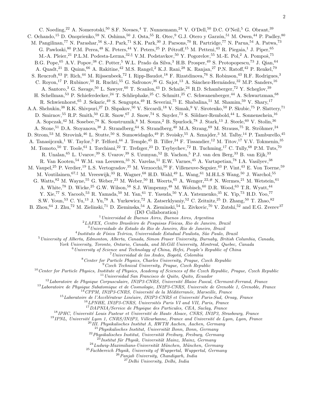C. Noeding,<sup>22</sup> A. Nomerotski,<sup>50</sup> S.F. Novaes,<sup>4</sup> T. Nunnemann,<sup>24</sup> V. O'Dell,<sup>50</sup> D.C. O'Neil,<sup>5</sup> G. Obrant,<sup>39</sup> C. Ochando,<sup>15</sup> D. Onoprienko,<sup>59</sup> N. Oshima,<sup>50</sup> J. Osta,<sup>55</sup> R. Otec,<sup>9</sup> G.J. Otero y Garzón,<sup>51</sup> M. Owen,<sup>44</sup> P. Padley,<sup>80</sup> M. Pangilinan,<sup>77</sup> N. Parashar,<sup>56</sup> S.-J. Park,<sup>71</sup> S.K. Park,<sup>30</sup> J. Parsons,<sup>70</sup> R. Partridge,<sup>77</sup> N. Parua,<sup>54</sup> A. Patwa,<sup>73</sup> G. Pawloski,  $80$  P.M. Perea,  $48$  K. Peters,  $44$  Y. Peters,  $25$  P. Pétroff,  $15$  M. Petteni,  $43$  R. Piegaia,  $1$  J. Piper,  $65$ M.-A. Pleier,<sup>21</sup> P.L.M. Podesta-Lerma,<sup>32,§</sup> V.M. Podstavkov,<sup>50</sup> Y. Pogorelov,<sup>55</sup> M.-E. Pol,<sup>2</sup> A. Pompoš,<sup>75</sup> B.G. Pope, <sup>65</sup> A.V. Popov, <sup>38</sup> C. Potter, <sup>5</sup> W.L. Prado da Silva, <sup>3</sup> H.B. Prosper, <sup>49</sup> S. Protopopescu,<sup>73</sup> J. Qian, <sup>64</sup> A. Quadt,<sup>21</sup> B. Quinn,<sup>66</sup> A. Rakitine,<sup>42</sup> M.S. Rangel,<sup>2</sup> K.J. Rani,<sup>28</sup> K. Ranjan,<sup>27</sup> P.N. Ratoff,<sup>42</sup> P. Renkel,<sup>79</sup> S. Reucroft,<sup>63</sup> P. Rich,<sup>44</sup> M. Rijssenbeek,<sup>72</sup> I. Ripp-Baudot,<sup>18</sup> F. Rizatdinova,<sup>76</sup> S. Robinson,<sup>43</sup> R.F. Rodrigues,<sup>3</sup> C. Royon,<sup>17</sup> P. Rubinov,<sup>50</sup> R. Ruchti,<sup>55</sup> G. Safronov,<sup>36</sup> G. Sajot,<sup>13</sup> A. Sánchez-Hernández,<sup>32</sup> M.P. Sanders,<sup>16</sup> A. Santoro,<sup>3</sup> G. Savage,<sup>50</sup> L. Sawyer,<sup>60</sup> T. Scanlon,<sup>43</sup> D. Schaile,<sup>24</sup> R.D. Schamberger,<sup>72</sup> Y. Scheglov,<sup>39</sup> H. Schellman,<sup>53</sup> P. Schieferdecker,<sup>24</sup> T. Schliephake,<sup>25</sup> C. Schmitt,<sup>25</sup> C. Schwanenberger,<sup>44</sup> A. Schwartzman,<sup>68</sup> R. Schwienhorst,<sup>65</sup> J. Sekaric,<sup>49</sup> S. Sengupta,<sup>49</sup> H. Severini,<sup>75</sup> E. Shabalina,<sup>51</sup> M. Shamim,<sup>59</sup> V. Shary,<sup>17</sup> A.A. Shchukin,<sup>38</sup> R.K. Shivpuri,<sup>27</sup> D. Shpakov,<sup>50</sup> V. Siccardi,<sup>18</sup> V. Simak,<sup>9</sup> V. Sirotenko,<sup>50</sup> P. Skubic,<sup>75</sup> P. Slattery,<sup>71</sup> D. Smirnov,<sup>55</sup> R.P. Smith,<sup>50</sup> G.R. Snow,<sup>67</sup> J. Snow,<sup>74</sup> S. Snyder,<sup>73</sup> S. Söldner-Rembold,<sup>44</sup> L. Sonnenschein,<sup>16</sup> A. Sopczak,<sup>42</sup> M. Sosebee,<sup>78</sup> K. Soustruznik,<sup>8</sup> M. Souza,<sup>2</sup> B. Spurlock,<sup>78</sup> J. Stark,<sup>13</sup> J. Steele,<sup>60</sup> V. Stolin,<sup>36</sup> A. Stone,<sup>51</sup> D.A. Stoyanova,<sup>38</sup> J. Strandberg,<sup>64</sup> S. Strandberg,<sup>40</sup> M.A. Strang,<sup>69</sup> M. Strauss,<sup>75</sup> R. Ströhmer,<sup>24</sup> D. Strom,<sup>53</sup> M. Strovink,<sup>46</sup> L. Stutte,<sup>50</sup> S. Sumowidagdo,<sup>49</sup> P. Svoisky,<sup>55</sup> A. Sznajder,<sup>3</sup> M. Talby,<sup>14</sup> P. Tamburello,<sup>45</sup> A. Tanasijczuk,<sup>1</sup> W. Taylor,<sup>5</sup> P. Telford,<sup>44</sup> J. Temple,<sup>45</sup> B. Tiller,<sup>24</sup> F. Tissandier,<sup>12</sup> M. Titov,<sup>17</sup> V.V. Tokmenin,<sup>35</sup> M. Tomoto,<sup>50</sup> T. Toole,<sup>61</sup> I. Torchiani,<sup>22</sup> T. Trefzger,<sup>23</sup> D. Tsybychev,<sup>72</sup> B. Tuchming,<sup>17</sup> C. Tully,<sup>68</sup> P.M. Tuts,<sup>70</sup> R. Unalan,<sup>65</sup> L. Uvarov,<sup>39</sup> S. Uvarov,<sup>39</sup> S. Uzunyan,<sup>52</sup> B. Vachon,<sup>5</sup> P.J. van den Berg,<sup>33</sup> B. van Eijk,<sup>33</sup> R. Van Kooten,<sup>54</sup> W.M. van Leeuwen,<sup>33</sup> N. Varelas,<sup>51</sup> E.W. Varnes,<sup>45</sup> A. Vartapetian,<sup>78</sup> I.A. Vasilyev,<sup>38</sup> M. Vaupel,<sup>25</sup> P. Verdier,<sup>19</sup> L.S. Vertogradov,<sup>35</sup> M. Verzocchi,<sup>50</sup> F. Villeneuve-Seguier,<sup>43</sup> P. Vint,<sup>43</sup> E. Von Toerne,<sup>59</sup> M. Voutilainen,<sup>67,‡</sup> M. Vreeswijk,<sup>33</sup> R. Wagner,<sup>68</sup> H.D. Wahl,<sup>49</sup> L. Wang,<sup>61</sup> M.H.L.S Wang,<sup>50</sup> J. Warchol,<sup>55</sup> G. Watts, <sup>82</sup> M. Wayne, <sup>55</sup> G. Weber, <sup>23</sup> M. Weber, <sup>50</sup> H. Weerts, <sup>65</sup> A. Wenger, <sup>22,#</sup> N. Wermes, <sup>21</sup> M. Wetstein, <sup>61</sup> A. White,<sup>78</sup> D. Wicke,<sup>25</sup> G.W. Wilson,<sup>58</sup> S.J. Wimpenny,<sup>48</sup> M. Wobisch,<sup>60</sup> D.R. Wood,<sup>63</sup> T.R. Wyatt,<sup>44</sup> Y. Xie,<sup>77</sup> S. Yacoob,<sup>53</sup> R. Yamada,<sup>50</sup> M. Yan,<sup>61</sup> T. Yasuda,<sup>50</sup> Y.A. Yatsunenko,<sup>35</sup> K. Yip,<sup>73</sup> H.D. Yoo,<sup>77</sup> S.W. Youn,<sup>53</sup> C. Yu,<sup>13</sup> J. Yu,<sup>78</sup> A. Yurkewicz,<sup>72</sup> A. Zatserklyaniy,<sup>52</sup> C. Zeitnitz,<sup>25</sup> D. Zhang,<sup>50</sup> T. Zhao,<sup>82</sup> B. Zhou,<sup>64</sup> J. Zhu,<sup>72</sup> M. Zielinski,<sup>71</sup> D. Zieminska,<sup>54</sup> A. Zieminski,<sup>54</sup> L. Zivkovic,<sup>70</sup> V. Zutshi,<sup>52</sup> and E.G. Zverev<sup>37</sup> (DØ Collaboration)  $1$ Universidad de Buenos Aires, Buenos Aires, Argentina  $2$ LAFEX, Centro Brasileiro de Pesquisas Físicas, Rio de Janeiro, Brazil

<sup>3</sup>Universidade do Estado do Rio de Janeiro, Rio de Janeiro, Brazil

<sup>4</sup> Instituto de Física Teórica, Universidade Estadual Paulista, São Paulo, Brazil

<sup>5</sup>University of Alberta, Edmonton, Alberta, Canada, Simon Fraser University, Burnaby, British Columbia, Canada,

York University, Toronto, Ontario, Canada, and McGill University, Montreal, Quebec, Canada

 $6$ University of Science and Technology of China, Hefei, People's Republic of China

 $7$ Universidad de los Andes, Bogotá, Colombia

<sup>8</sup>Center for Particle Physics, Charles University, Prague, Czech Republic

 $^{9}$ Czech Technical University, Prague, Czech Republic

 $10$ Center for Particle Physics, Institute of Physics, Academy of Sciences of the Czech Republic, Prague, Czech Republic  $11$ Universidad San Francisco de Quito, Quito, Ecuador

 $12$ Laboratoire de Physique Corpusculaire, IN2P3-CNRS, Université Blaise Pascal, Clermont-Ferrand, France <sup>13</sup>Laboratoire de Physique Subatomique et de Cosmologie, IN2P3-CNRS, Universite de Grenoble 1, Grenoble, France

 $^{14}$ CPPM, IN2P3-CNRS, Université de la Méditerranée, Marseille, France

 $^{15}$ Laboratoire de l'Accélérateur Linéaire, IN2P3-CNRS et Université Paris-Sud, Orsay, France

 $^{16}$  LPNHE, IN2P3-CNRS, Universités Paris VI and VII, Paris, France

<sup>17</sup>DAPNIA/Service de Physique des Particules, CEA, Saclay, France

<sup>18</sup> IPHC, Université Louis Pasteur et Université de Haute Alsace, CNRS, IN2P3, Strasbourg, France

 $19$ IPNL, Université Lyon 1, CNRS/IN2P3, Villeurbanne, France and Université de Lyon, Lyon, France

 $^{20}$ III. Physikalisches Institut A, RWTH Aachen, Aachen, Germany

 $^{21}$ Physikalisches Institut, Universität Bonn, Bonn, Germany

 $^{22}$ Physikalisches Institut, Universität Freiburg, Freiburg, Germany

 $^{23}$ Institut für Physik, Universität Mainz, Mainz, Germany

 $^{24}$ Ludwig-Maximilians-Universität München, München, Germany

 $25$ Fachbereich Physik, University of Wuppertal, Wuppertal, Germany

 $26$  Panjab University, Chandigarh, India

 $^{27}$ Delhi University, Delhi, India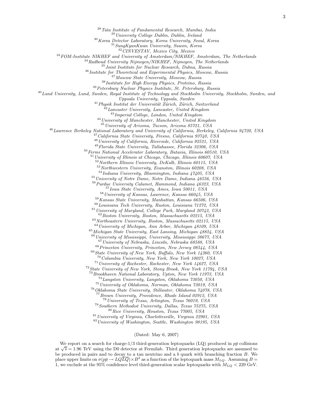Tata Institute of Fundamental Research, Mumbai, India

<sup>29</sup> University College Dublin, Dublin, Ireland

Korea Detector Laboratory, Korea University, Seoul, Korea

SungKyunKwan University, Suwon, Korea

CINVESTAV, Mexico City, Mexico

<sup>33</sup> FOM-Institute NIKHEF and University of Amsterdam/NIKHEF, Amsterdam, The Netherlands

Radboud University Nijmegen/NIKHEF, Nijmegen, The Netherlands

Joint Institute for Nuclear Research, Dubna, Russia

<sup>36</sup> Institute for Theoretical and Experimental Physics, Moscow, Russia

Moscow State University, Moscow, Russia

Institute for High Energy Physics, Protvino, Russia

Petersburg Nuclear Physics Institute, St. Petersburg, Russia

<sup>40</sup> Lund University, Lund, Sweden, Royal Institute of Technology and Stockholm University, Stockholm, Sweden, and

Uppsala University, Uppsala, Sweden

<sup>41</sup> Physik Institut der Universität Zürich, Zürich, Switzerland

 $\overline{A}^{12}$ Lancaster University, Lancaster, United Kingdom

Imperial College, London, United Kingdom

University of Manchester, Manchester, United Kingdom

University of Arizona, Tucson, Arizona 85721, USA

Lawrence Berkeley National Laboratory and University of California, Berkeley, California 94720, USA

<sup>47</sup> California State University, Fresno, California 93740, USA

University of California, Riverside, California 92521, USA

Florida State University, Tallahassee, Florida 32306, USA

 $^{50}\,Fermi$  National Accelerator Laboratory, Batavia, Illinois 60510, USA

University of Illinois at Chicago, Chicago, Illinois 60607, USA

Northern Illinois University, DeKalb, Illinois 60115, USA

Northwestern University, Evanston, Illinois 60208, USA

Indiana University, Bloomington, Indiana  $47405$ , USA

University of Notre Dame, Notre Dame, Indiana 46556, USA

Purdue University Calumet, Hammond, Indiana 46323, USA

Iowa State University, Ames, Iowa 50011, USA

University of Kansas, Lawrence, Kansas 66045, USA

Kansas State University, Manhattan, Kansas 66506, USA

Louisiana Tech University, Ruston, Louisiana 71272, USA

University of Maryland, College Park, Maryland 20742, USA

Boston University, Boston, Massachusetts 02215, USA Northeastern University, Boston, Massachusetts 02115, USA

University of Michigan, Ann Arbor, Michigan 48109, USA

Michigan State University, East Lansing, Michigan 48824, USA

University of Mississippi, University, Mississippi 38677, USA

University of Nebraska, Lincoln, Nebraska 68588, USA

Princeton University, Princeton, New Jersey 08544, USA

State University of New York, Buffalo, New York 14260, USA

Columbia University, New York, New York 10027, USA University of Rochester, Rochester, New York 14627, USA

State University of New York, Stony Brook, New York 11794, USA

Brookhaven National Laboratory, Upton, New York 11973, USA

Langston University, Langston, Oklahoma 73050, USA

University of Oklahoma, Norman, Oklahoma 73019, USA

Oklahoma State University, Stillwater, Oklahoma 74078, USA

Brown University, Providence, Rhode Island 02912, USA

University of Texas, Arlington, Texas 76019, USA

Southern Methodist University, Dallas, Texas 75275, USA Rice University, Houston, Texas 77005, USA

University of Virginia, Charlottesville, Virginia 22901, USA

University of Washington, Seattle, Washington 98195, USA

(Dated: May 6, 2007)

We report on a search for charge-1/3 third-generation leptoquarks (LQ) produced in  $p\bar{p}$  collisions at  $\sqrt{s} = 1.96$  TeV using the D0 detector at Fermilab. Third generation leptoquarks are assumed to be produced in pairs and to decay to a tau neutrino and a  $\bar{b}$  quark with branching fraction B. We place upper limits on  $\sigma(p\bar{p} \to LQ\bar{LQ}) \times B^2$  as a function of the leptoquark mass  $M_{LQ}$ . Assuming  $B =$ 1, we exclude at the 95% confidence level third-generation scalar leptoquarks with  $M_{LO} < 229$  GeV.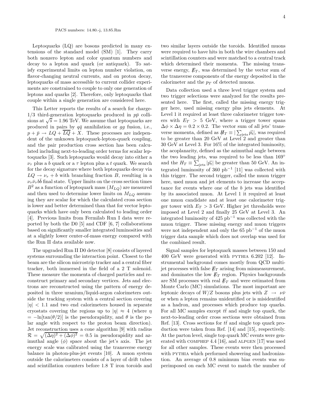Leptoquarks (LQ) are bosons predicted in many extensions of the standard model (SM) [1]. They carry both nonzero lepton and color quantum numbers and decay to a lepton and quark (or antiquark). To satisfy experimental limits on lepton number violation, on flavor-changing neutral currents, and on proton decay, leptoquarks of mass accessible to current collider experiments are constrained to couple to only one generation of leptons and quarks [2]. Therefore, only leptoquarks that couple within a single generation are considered here.

This Letter reports the results of a search for charge- $1/3$  third-generation leptoquarks produced in  $p\bar{p}$  collisions at  $\sqrt{s} = 1.96 \text{ TeV}$ . We assume that leptoquarks are produced in pairs by  $q\bar{q}$  annihilation or  $q\bar{q}$  fusion, i.e.,  $p + \bar{p} \rightarrow LQ + \overline{LQ} + X$ . These processes are independent of the unknown leptoquark-lepton-quark coupling, and the pair production cross section has been calculated including next-to-leading order terms for scalar leptoquarks [3]. Such leptoquarks would decay into either a  $\nu_{\tau}$  plus a b quark or a  $\tau$  lepton plus a t quark. We search for the decay signature where both leptoquarks decay via  $LQ \rightarrow \nu_{\tau} + b$  with branching fraction B, resulting in a  $\nu_{\tau} \bar{\nu}_{\tau} b \bar{b}$  final state. Upper limits on the cross section times  $B^2$  as a function of leptoquark mass  $(M_{LQ})$  are measured and then used to determine lower limits on  $M_{LQ}$  assuming they are scalar for which the calculated cross section is lower and better determined than that for vector leptoquarks which have only been calculated to leading order [4]. Previous limits from Fermilab Run I data were reported by both the D0 [5] and CDF [6, 7] collaborations based on significantly smaller integrated luminosities and at a slightly lower center-of-mass energy compared with the Run II data available now.

The upgraded Run II D0 detector [8] consists of layered systems surrounding the interaction point. Closest to the beam are the silicon microstrip tracker and a central fiber tracker, both immersed in the field of a 2 T solenoid. These measure the momenta of charged particles and reconstruct primary and secondary vertices. Jets and electrons are reconstructed using the pattern of energy deposited in three uranium/liquid-argon calorimeters outside the tracking system with a central section covering  $|n| < 1.1$  and two end calorimeters housed in separate cryostats covering the regions up to  $|\eta| \approx 4$  (where  $\eta$  $=-\ln[\tan(\theta/2)]$  is the pseudorapidity, and  $\theta$  is the polar angle with respect to the proton beam direction). Jet reconstruction uses a cone algorithm [9] with radius  $\mathcal{R} = \sqrt{(\Delta \eta)^2 + (\Delta \phi)^2} = 0.5$  in pseudorapidity and azimuthal angle  $(\phi)$  space about the jet's axis. The jet energy scale was calibrated using the transverse energy balance in photon-plus-jet events [10]. A muon system outside the calorimeters consists of a layer of drift tubes and scintillation counters before 1.8 T iron toroids and

two similar layers outside the toroids. Identified muons were required to have hits in both the wire chambers and scintillation counters and were matched to a central track which determined their momenta. The missing transverse energy,  $\not\hspace{-.05in}{E_T}$ , was determined by the vector sum of the transverse components of the energy deposited in the calorimeter and the  $p_T$  of detected muons.

Data collection used a three level trigger system and two trigger selections were analyzed for the results presented here. The first, called the missing energy trigger here, used missing energy plus jets elements. At Level 1 it required at least three calorimeter trigger towers with  $E_T > 5$  GeV, where a trigger tower spans  $\Delta \phi \times \Delta \eta = 0.2 \times 0.2$ . The vector sum of all jets' transverse momenta, defined as  $#_T \equiv |\sum_{\text{jets}} \vec{p_t}|$ , was required to be greater than 20 GeV at Level  $2^{\infty}$  and greater than 30 GeV at Level 3. For 16% of the integrated luminosity, the acoplanarity, defined as the azimuthal angle between the two leading jets, was required to be less than 169◦ and the  $H_T \equiv \sum_{\text{jets}} |\vec{p_t}|$  be greater than 50 GeV. An integrated luminosity of 360 pb<sup>−</sup><sup>1</sup> [11] was collected with this trigger. The second trigger, called the muon trigger here, used muon and jet elements to increase the acceptance for events where one of the b jets was identified by its associated muon. At Level 1 it required at least one muon candidate and at least one calorimeter trigger tower with  $E_T > 3$  GeV. Higher jet thresholds were imposed at Level 2 and finally 25 GeV at Level 3. An integrated luminosity of  $425$  pb<sup>-1</sup> was collected with the muon trigger. These missing energy and muon triggers were not independent and only the  $65$  pb<sup>-1</sup> of the muon trigger data sample which does not overlap was used for the combined result.

Signal samples for leptoquark masses between 150 and 400 GeV were generated with pythia 6.202 [12]. Instrumental background comes mostly from QCD multijet processes with false  $\not\!\!E_T$  arising from mismeasurement, and dominates the low  $\not\!\!E_T$  region. Physics backgrounds are SM processes with real  $E_T$  and were estimated from Monte Carlo (MC) simulations. The most important are leptonic decays of  $W/Z$  bosons plus jets with  $Z \rightarrow \nu \bar{\nu}$ or when a lepton remains unidentified or is misidentified as a hadron, and processes which produce top quarks. For all MC samples except  $t\bar{t}$  and single top quark, the next-to-leading order cross sections were obtained from Ref. [13]. Cross sections for  $t\bar{t}$  and single top quark production were taken from Ref. [14] and [15], respectively. At the parton level, single top quark MC events were generated with comphep 4.4 [16], and alpgen [17] was used for all other samples. These events were then processed with PYTHIA which performed showering and hadronization. An average of 0.8 minimum bias events was superimposed on each MC event to match the number of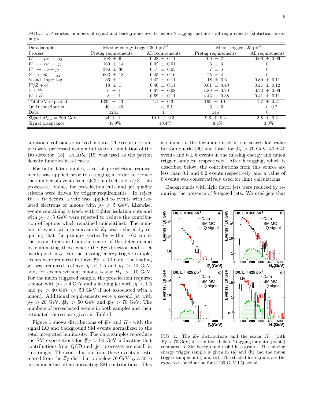TABLE I: Predicted numbers of signal and background events before b tagging and after all requirements (statistical errors only).

| Data sample                         | Missing energy trigger 360 $pb^{-1}$ |                   | Muon trigger 425 $pb^{-1}$ |                    |
|-------------------------------------|--------------------------------------|-------------------|----------------------------|--------------------|
| Process                             | Pretag requirements                  | All requirements  | Pretag requirements        | All requirements   |
| $W \rightarrow \mu \nu + j j$       | $108 \pm 6$                          | $0.28 \pm 0.11$   | $100 \pm 7$                | $0.06 \pm 0.06$    |
| $W \rightarrow e\nu + i i$          | $160 \pm 14$                         | $0.02 \pm 0.01$   | $6\pm3$                    | 0                  |
| $W \rightarrow \tau \nu + i i$      | $396 \pm 36$                         | $0.17 \pm 0.05$   | $7~\pm~5$                  |                    |
| $Z \rightarrow \nu \bar{\nu} + i i$ | $603 \pm 18$                         | $0.45 \pm 0.16$   | $25 \pm 4$                 |                    |
| $t\bar{t}$ and single top           | $36 \pm 1$                           | $1.42 \pm 0.11$   | $18 \pm 0.6$               | $0.80 \pm 0.11$    |
| $W/Z + c\bar{c}$                    | $18 \pm 1$                           | $0.46 + 0.11$     | $3.01 \pm 0.49$            | $\pm$ 0.12<br>0.21 |
| $Z+b\bar{b}$                        | $6\pm1$                              | $0.67 \pm 0.08$   | $1.89 \pm 0.20$            | $0.22 \pm 0.06$    |
| $W + bb$                            | $8 \pm 1$                            | $0.59 \pm 0.11$   | $4.43 \pm 0.38$            | $0.41 \pm 0.11$    |
| Total SM expected                   | $1335 \pm 43$                        | $\pm$ 0.3<br>4.1  | $165 \pm 10$               | $1.7 \pm 0.2$      |
| QCD contribution                    | $40 \pm 40$                          | $\langle 0.1$     | $6\pm 6$                   | $\langle 0.2$      |
| Data                                | 1241                                 |                   | 146                        | $\Omega$           |
| Signal $M_{LQ} = 200 \text{ GeV}$   | $34 \pm 1$                           | $\pm$ 0.3<br>10.1 | $9.6 \pm 0.4$              | $3.8 \pm 0.2$      |
| Signal acceptance                   | 35.9%                                | $10.4\%$          | $8.4\%$                    | $3.3\%$            |

additional collisions observed in data. The resulting samples were processed using a full geant simulation of the D0 detector [18].  $CTEQ5L$  [19] was used as the parton density function in all cases.

For both data samples, a set of preselection requirements was applied prior to b tagging in order to reduce the number of events from QCD multijet and  $W/Z +$ jets processes. Values for preselection cuts and jet quality criteria were driven by trigger requirements. To reject  $W \to \ell \nu$  decays, a veto was applied to events with isolated electrons or muons with  $p_T > 5$  GeV. Likewise, events containing a track with tighter isolation cuts and with  $p_T > 5$  GeV were rejected to reduce the contribution of leptons which remained unidentified. The number of events with mismeasured  $E_T$  was reduced by requiring that the primary vertex be within  $\pm 60$  cm in the beam direction from the center of the detector and by eliminating those where the  $\not\!\!E_T$  direction and a jet overlapped in  $\phi$ . For the missing energy trigger sample, events were required to have  $E_T > 70$  GeV, the leading jet was required to have  $|\eta| < 1.5$  and  $p_T > 40$  GeV, and, for events without muons, scalar  $H_T > 110$  GeV. For the muon triggered sample, the preselection required a muon with  $p_T > 4$  GeV and a leading jet with  $|\eta| < 1.5$ and  $p_T > 40$  GeV ( $> 50$  GeV if not associated with a muon). Additional requirements were a second jet with  $p_T > 20$  GeV,  $H_T > 50$  GeV and  $E_T > 70$  GeV. The numbers of pre-selected events in both samples and their estimated sources are given in Table I.

Figure 1 shows distributions of  $\not\hspace{-1.2mm}E_{T}$  and  $H_{T}$  with the signal LQ and background SM events normalized to the total integrated luminosity. The data samples reproduce the SM expectations for  $E_T > 90$  GeV indicating that contributions from QCD multijet processes are small in this range. The contribution from these events is estimated from the  $\not\!\!E_T$  distribution below 70 GeV by a fit to an exponential after subtracting SM contributions. This

is similar to the technique used in our search for scalar bottom quarks [20] and total, for  $E_T > 70$  GeV,  $40 \pm 40$ events and  $6 \pm 6$  events in the missing energy and muon trigger samples, respectively. After b tagging, which is described below, the contributions from this source are less than 0.1 and 0.2 events respectively, and a value of 0 events was conservatively used for limit calculations.

Backgrounds with light flavor jets were reduced by requiring the presence of b-tagged jets. We used jets that



FIG. 1: The  $\not\!\!E_T$  distributions and the scalar  $H_T$  (with  $E_T > 70$  GeV) distributions before b tagging for data (points) compared to SM background (solid histogram). The missing energy trigger sample is given in (a) and (b) and the muon trigger sample in (c) and (d). The shaded histograms are the expected contribution for a 200 GeV LQ signal.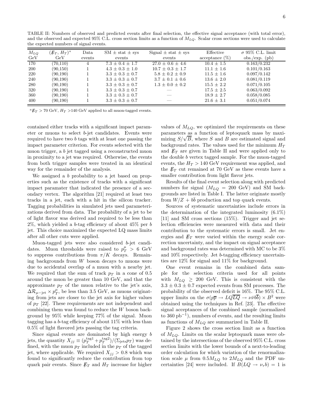TABLE II: Numbers of observed and predicted events after final selection, the effective signal acceptance (with total error), and the observed and expected 95% C.L. cross section limits as a function of  $M_{LQ}$ . Scalar cross sections were used to calculate the expected numbers of signal events.

| $M_{LQ}$<br>GeV | $(E_T, H_T)^a$<br>GeV | Data<br>events | $SM \pm stat \pm sys$<br>events | Signal $\pm$ stat $\pm$ sys<br>events | Effective<br>$acceptance (\%)$ | $\sigma$ 95% C.L. limit<br>$obs./exp.$ (pb) |
|-----------------|-----------------------|----------------|---------------------------------|---------------------------------------|--------------------------------|---------------------------------------------|
| 170             | (70, 110)             | 4              | $7.3 \pm 0.4 \pm 1.7$           | $27.0 \pm 0.6 \pm 4.6$                | $10.4 \pm 1.5$                 | 0.163/0.232                                 |
| <b>200</b>      | (90, 150)             |                | $4.3 \pm 0.3 \pm 1.0$           | $10.7 \pm 0.3 \pm 1.7$                | $11.1 \pm 1.6$                 | 0.101/0.163                                 |
| 220             | (90, 190)             |                | $3.3 \pm 0.3 \pm 0.7$           | $5.8 \pm 0.2 \pm 0.9$                 | $11.5 \pm 1.6$                 | 0.097/0.142                                 |
| 240             | (90, 190)             |                | $3.3 \pm 0.3 \pm 0.7$           | $3.7 \pm 0.1 \pm 0.6$                 | $13.6 \pm 2.0$                 | 0.081/0.119                                 |
| 280             | (90, 190)             |                | $3.3 \pm 0.3 \pm 0.7$           | $1.3 \pm 0.0 \pm 0.2$                 | $15.5 \pm 2.2$                 | 0.071/0.105                                 |
| 320             | (90, 190)             |                | $3.3 \pm 0.3 \pm 0.7$           |                                       | $17.5 \pm 2.5$                 | 0.063/0.092                                 |
| 360             | (90, 190)             |                | $3.3 \pm 0.3 \pm 0.7$           |                                       | $18.9 \pm 2.7$                 | 0.058/0.085                                 |
| 400             | (90, 190)             |                | $3.3 \pm 0.3 \pm 0.7$           |                                       | $21.6 \pm 3.1$                 | 0.051/0.074                                 |

 ${}^aE_T$  > 70 GeV,  $H_T$  >140 GeV applied to all muon-tagged events.

contained either tracks with a significant impact parameter or muons to select b-jet candidates. Events were required to have two b tags with at least one passing the impact parameter criterion. For events selected with the muon trigger, a b jet tagged using a reconstructed muon in proximity to a jet was required. Otherwise, the events from both trigger samples were treated in an identical way for the remainder of the analysis.

We assigned a b probability to a jet based on properties such as the existence of tracks with a significant impact paramater that indicated the presence of a secondary vertex. The algorithm [21] required at least two tracks in a jet, each with a hit in the silicon tracker. Tagging probabilities in simulated jets used parameterizations derived from data. The probability of a jet to be of light flavor was derived and required to be less than  $2\%$ , which yielded a b-tag efficiency of about  $45\%$  per b jet. This choice maximized the expected LQ mass limits after all other cuts were applied.

Muon-tagged jets were also considered b-jet candidates. Muon thresholds were raised to  $p_T^{\mu} > 6$  GeV to suppress contributions from  $\pi/K$  decays. Remaining backgrounds from W boson decays to muons were due to accidental overlap of a muon with a nearby jet. We required that the sum of track  $p_T$  in a cone of 0.5 around the muon be greater than 10 GeV, and that the approximate  $p_T$  of the muon relative to the jet's axis,  $\Delta \mathcal{R}_{\mu-\rm jet}\times p_T^{\mu}$ , be less than 3.5 GeV, as muons originating from jets are closer to the jet axis for higher values of  $p_T$  [22]. These requirements are not independent and combining them was found to reduce the W boson background by 95% while keeping 77% of the signal. Muon tagging has a b-tag efficiency of about 11% with less than 0.5% of light flavored jets passing the tag criteria.

Since signal events are dominated by high energy b jets, the quantity  $X_{jj} \equiv (p_T^{\text{tag}2} + p_T^{\text{tag}2})/(\Sigma_{\text{jets}} p_T)$  was defined, with the muon  $p_T$  included in the  $p_T$  of the tagged jet, where applicable. We required  $X_{ij} > 0.8$  which was found to significantly reduce the contribution from top quark pair events. Since  $\not\!\!E_T$  and  $H_T$  increase for higher

values of  $M_{LQ}$ , we optimized the requirements on these parameters as a function of leptoquark mass by maximizing  $S/\sqrt{B}$ , where S and B are estimated signal and background rates. The values used for the minimum  $H_T$ and  $E_T$  are given in Table II and were applied only to the double b vertex tagged sample. For the muon-tagged events, the  $H_T > 140$  GeV requirement was applied, and the  $\not\!\!E_T$  cut remained at 70 GeV as these events have a smaller contribution from light flavor jets.

Results of the final event selection along with predicted numbers for signal  $(M_{LQ} = 200 \text{ GeV})$  and SM backgrounds are listed in Table I. The latter originate mostly from  $W/Z + b\bar{b}$  production and top quark events.

Sources of systematic uncertainties include errors in the determination of the integrated luminosity (6.1%) [11] and SM cross sections (15%). Trigger and jet selection efficiencies were measured with data and their contribution to the systematic errors is small. Jet energies and  $\not\hspace{-.05in}{E_T}$  were varied within the energy scale correction uncertainty, and the impact on signal acceptance and background rates was determined with MC to be 3% and 10% respectively. Jet b-tagging efficiency uncertainties are 12% for signal and 11% for background.

One event remains in the combined data sample for the selection criteria used for all points with  $M_{LO} \geq 200$  GeV. This is consistent with the  $3.3 \pm 0.3 \pm 0.7$  expected events from SM processes. The probability of the observed deficit is 16%. The 95% C.L. upper limits on the  $\sigma(p\overline{p} \to LQ\overline{LQ} \to \nu\bar{\nu}b\bar{b}) \times B^2$  were obtained using the techniques in Ref. [23]. The effective signal acceptances of the combined sample (normalized to 360 pb−<sup>1</sup> ), numbers of events, and the resulting limits as functions of  $M_{LQ}$  are summarized in Table II.

Figure 2 shows the cross section limit as a function of  $M_{LO}$ . Limits on the scalar leptoquark mass were obtained by the intersections of the observed 95% C.L. cross section limits with the lower bounds of a next-to-leading order calculation for which variation of the renormalization scale  $\mu$  from  $0.5M_{LQ}$  to  $2M_{LQ}$  and the PDF uncertainties [24] were included. If  $B(LQ \rightarrow \nu_{\tau} b) = 1$  is